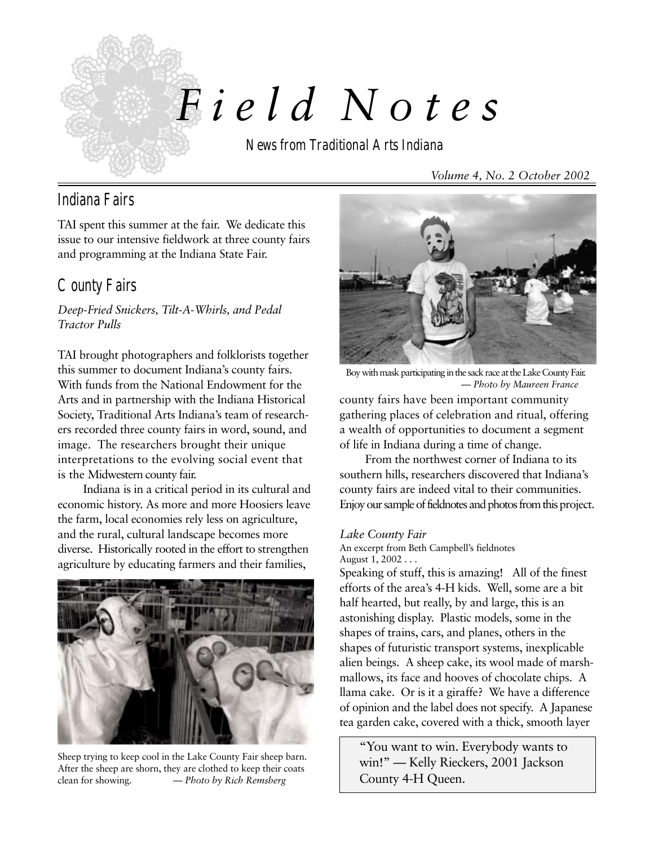

# *F i e l d Notes*

News from Traditional Arts Indiana

*Volume 4, No. 2 October 2002*

## Indiana Fairs

TAI spent this summer at the fair. We dedicate this issue to our intensive fieldwork at three county fairs and programming at the Indiana State Fair.

# County Fairs

*Deep-Fried Snickers, Tilt-A-Whirls, and Pedal Tractor Pulls*

TAI brought photographers and folklorists together this summer to document Indiana's county fairs. With funds from the National Endowment for the Arts and in partnership with the Indiana Historical Society, Traditional Arts Indiana's team of researchers recorded three county fairs in word, sound, and image. The researchers brought their unique interpretations to the evolving social event that is the Midwestern county fair.

Indiana is in a critical period in its cultural and economic history. As more and more Hoosiers leave the farm, local economies rely less on agriculture, and the rural, cultural landscape becomes more diverse. Historically rooted in the effort to strengthen agriculture by educating farmers and their families,



Sheep trying to keep cool in the Lake County Fair sheep barn. After the sheep are shorn, they are clothed to keep their coats clean for showing. *— Photo by Rich Remsberg*



Boy with mask participating in the sack race at the Lake County Fair. *— Photo by Maureen France*

county fairs have been important community gathering places of celebration and ritual, offering a wealth of opportunities to document a segment of life in Indiana during a time of change.

From the northwest corner of Indiana to its southern hills, researchers discovered that Indiana's county fairs are indeed vital to their communities. Enjoy our sample of fieldnotes and photos from this project.

#### *Lake County Fair*

An excerpt from Beth Campbell's fieldnotes August 1, 2002 . . .

Speaking of stuff, this is amazing! All of the finest efforts of the area's 4-H kids. Well, some are a bit half hearted, but really, by and large, this is an astonishing display. Plastic models, some in the shapes of trains, cars, and planes, others in the shapes of futuristic transport systems, inexplicable alien beings. A sheep cake, its wool made of marshmallows, its face and hooves of chocolate chips. A llama cake. Or is it a giraffe? We have a difference of opinion and the label does not specify. A Japanese tea garden cake, covered with a thick, smooth layer

"You want to win. Everybody wants to win!" — Kelly Rieckers, 2001 Jackson County 4-H Queen.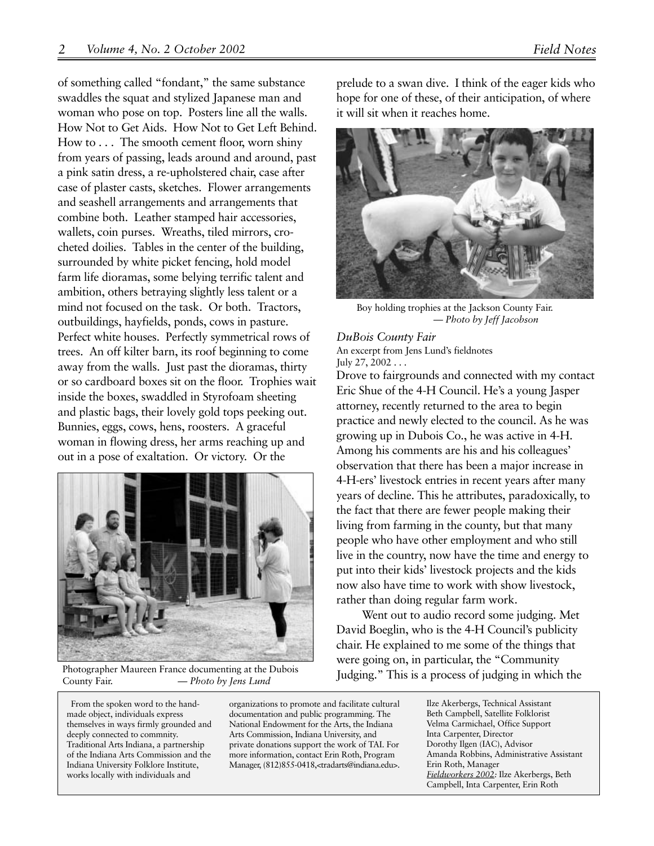of something called "fondant," the same substance swaddles the squat and stylized Japanese man and woman who pose on top. Posters line all the walls. How Not to Get Aids. How Not to Get Left Behind. How to . . . The smooth cement floor, worn shiny from years of passing, leads around and around, past a pink satin dress, a re-upholstered chair, case after case of plaster casts, sketches. Flower arrangements and seashell arrangements and arrangements that combine both. Leather stamped hair accessories, wallets, coin purses. Wreaths, tiled mirrors, crocheted doilies. Tables in the center of the building, surrounded by white picket fencing, hold model farm life dioramas, some belying terrific talent and ambition, others betraying slightly less talent or a mind not focused on the task. Or both. Tractors, outbuildings, hayfields, ponds, cows in pasture. Perfect white houses. Perfectly symmetrical rows of trees. An off kilter barn, its roof beginning to come away from the walls. Just past the dioramas, thirty or so cardboard boxes sit on the floor. Trophies wait inside the boxes, swaddled in Styrofoam sheeting and plastic bags, their lovely gold tops peeking out. Bunnies, eggs, cows, hens, roosters. A graceful woman in flowing dress, her arms reaching up and out in a pose of exaltation. Or victory. Or the



Photographer Maureen France documenting at the Dubois County Fair. *— Photo by Jens Lund*

From the spoken word to the handmade object, individuals express themselves in ways firmly grounded and deeply connected to commnity. Traditional Arts Indiana, a partnership of the Indiana Arts Commission and the Indiana University Folklore Institute, works locally with individuals and

organizations to promote and facilitate cultural documentation and public programming. The National Endowment for the Arts, the Indiana Arts Commission, Indiana University, and private donations support the work of TAI. For more information, contact Erin Roth, Program Manager, (812)855-0418,<tradarts@indiana.edu>.

prelude to a swan dive. I think of the eager kids who hope for one of these, of their anticipation, of where it will sit when it reaches home.



Boy holding trophies at the Jackson County Fair. *— Photo by Jeff Jacobson*

*DuBois County Fair* An excerpt from Jens Lund's fieldnotes July 27,  $2002...$ 

Drove to fairgrounds and connected with my contact Eric Shue of the 4-H Council. He's a young Jasper attorney, recently returned to the area to begin practice and newly elected to the council. As he was growing up in Dubois Co., he was active in 4-H. Among his comments are his and his colleagues' observation that there has been a major increase in 4-H-ers' livestock entries in recent years after many years of decline. This he attributes, paradoxically, to the fact that there are fewer people making their living from farming in the county, but that many people who have other employment and who still live in the country, now have the time and energy to put into their kids' livestock projects and the kids now also have time to work with show livestock, rather than doing regular farm work.

Went out to audio record some judging. Met David Boeglin, who is the 4-H Council's publicity chair. He explained to me some of the things that were going on, in particular, the "Community Judging." This is a process of judging in which the

> Ilze Akerbergs, Technical Assistant Beth Campbell, Satellite Folklorist Velma Carmichael, Office Support Inta Carpenter, Director Dorothy Ilgen (IAC), Advisor Amanda Robbins, Administrative Assistant Erin Roth, Manager *Fieldworkers 2002:* Ilze Akerbergs, Beth Campbell, Inta Carpenter, Erin Roth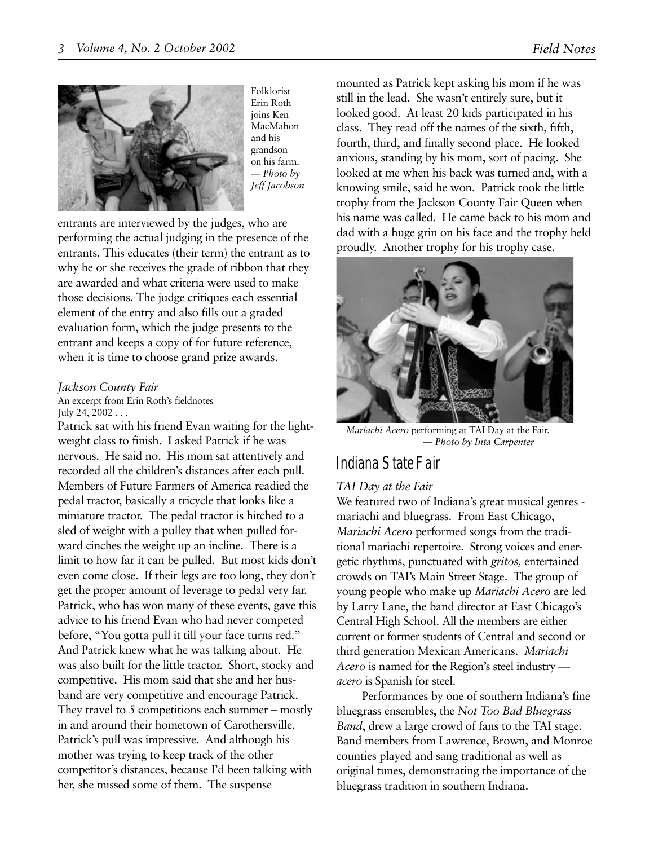

Folklorist Erin Roth joins Ken MacMahon and his grandson on his farm. *— Photo by Jeff Jacobson*

entrants are interviewed by the judges, who are performing the actual judging in the presence of the entrants. This educates (their term) the entrant as to why he or she receives the grade of ribbon that they are awarded and what criteria were used to make those decisions. The judge critiques each essential element of the entry and also fills out a graded evaluation form, which the judge presents to the entrant and keeps a copy of for future reference, when it is time to choose grand prize awards.

#### *Jackson County Fair*

An excerpt from Erin Roth's fieldnotes July 24,  $2002...$ 

Patrick sat with his friend Evan waiting for the lightweight class to finish. I asked Patrick if he was nervous. He said no. His mom sat attentively and recorded all the children's distances after each pull. Members of Future Farmers of America readied the pedal tractor, basically a tricycle that looks like a miniature tractor. The pedal tractor is hitched to a sled of weight with a pulley that when pulled forward cinches the weight up an incline. There is a limit to how far it can be pulled. But most kids don't even come close. If their legs are too long, they don't get the proper amount of leverage to pedal very far. Patrick, who has won many of these events, gave this advice to his friend Evan who had never competed before, "You gotta pull it till your face turns red." And Patrick knew what he was talking about. He was also built for the little tractor. Short, stocky and competitive. His mom said that she and her husband are very competitive and encourage Patrick. They travel to 5 competitions each summer – mostly in and around their hometown of Carothersville. Patrick's pull was impressive. And although his mother was trying to keep track of the other competitor's distances, because I'd been talking with her, she missed some of them. The suspense

mounted as Patrick kept asking his mom if he was still in the lead. She wasn't entirely sure, but it looked good. At least 20 kids participated in his class. They read off the names of the sixth, fifth, fourth, third, and finally second place. He looked anxious, standing by his mom, sort of pacing. She looked at me when his back was turned and, with a knowing smile, said he won. Patrick took the little trophy from the Jackson County Fair Queen when his name was called. He came back to his mom and dad with a huge grin on his face and the trophy held proudly. Another trophy for his trophy case.



*Mariachi Acero* performing at TAI Day at the Fair. *— Photo by Inta Carpenter*

### Indiana State Fair

#### *TAI Day at the Fair*

We featured two of Indiana's great musical genres mariachi and bluegrass. From East Chicago, *Mariachi Acero* performed songs from the traditional mariachi repertoire. Strong voices and energetic rhythms, punctuated with *gritos,* entertained crowds on TAI's Main Street Stage. The group of young people who make up *Mariachi Acero* are led by Larry Lane, the band director at East Chicago's Central High School. All the members are either current or former students of Central and second or third generation Mexican Americans. *Mariachi Acero* is named for the Region's steel industry *acero* is Spanish for steel.

Performances by one of southern Indiana's fine bluegrass ensembles, the *Not Too Bad Bluegrass Band*, drew a large crowd of fans to the TAI stage. Band members from Lawrence, Brown, and Monroe counties played and sang traditional as well as original tunes, demonstrating the importance of the bluegrass tradition in southern Indiana.